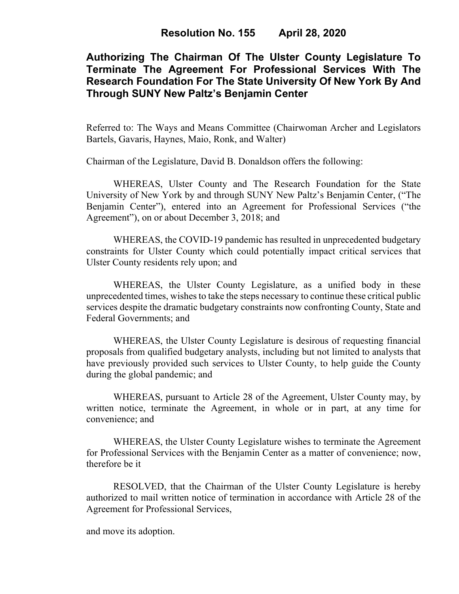# **Authorizing The Chairman Of The Ulster County Legislature To Terminate The Agreement For Professional Services With The Research Foundation For The State University Of New York By And Through SUNY New Paltz's Benjamin Center**

Referred to: The Ways and Means Committee (Chairwoman Archer and Legislators Bartels, Gavaris, Haynes, Maio, Ronk, and Walter)

Chairman of the Legislature, David B. Donaldson offers the following:

WHEREAS, Ulster County and The Research Foundation for the State University of New York by and through SUNY New Paltz's Benjamin Center, ("The Benjamin Center"), entered into an Agreement for Professional Services ("the Agreement"), on or about December 3, 2018; and

WHEREAS, the COVID-19 pandemic has resulted in unprecedented budgetary constraints for Ulster County which could potentially impact critical services that Ulster County residents rely upon; and

WHEREAS, the Ulster County Legislature, as a unified body in these unprecedented times, wishes to take the steps necessary to continue these critical public services despite the dramatic budgetary constraints now confronting County, State and Federal Governments; and

WHEREAS, the Ulster County Legislature is desirous of requesting financial proposals from qualified budgetary analysts, including but not limited to analysts that have previously provided such services to Ulster County, to help guide the County during the global pandemic; and

WHEREAS, pursuant to Article 28 of the Agreement, Ulster County may, by written notice, terminate the Agreement, in whole or in part, at any time for convenience; and

WHEREAS, the Ulster County Legislature wishes to terminate the Agreement for Professional Services with the Benjamin Center as a matter of convenience; now, therefore be it

RESOLVED, that the Chairman of the Ulster County Legislature is hereby authorized to mail written notice of termination in accordance with Article 28 of the Agreement for Professional Services,

and move its adoption.